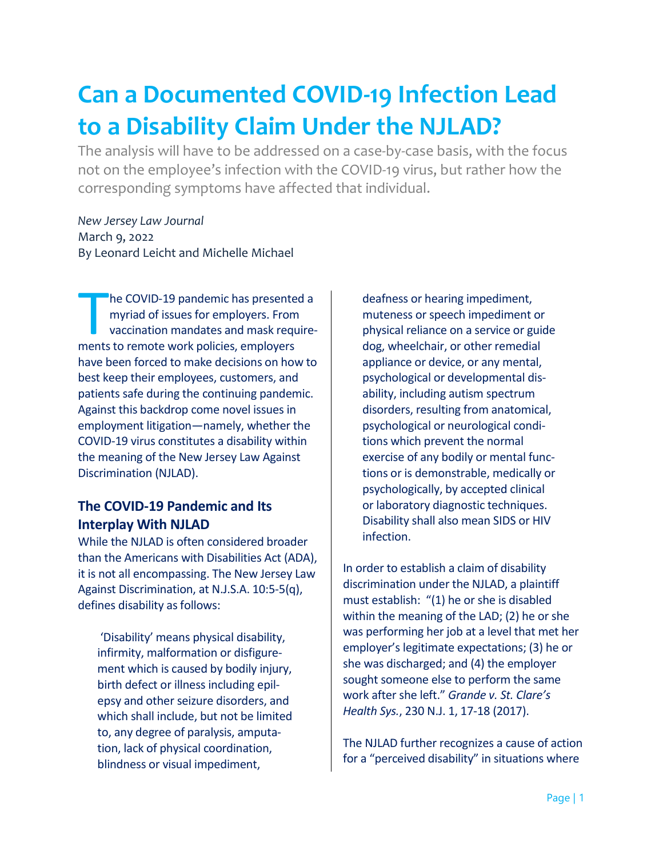# **Can a Documented COVID-19 Infection Lead to a Disability Claim Under the NJLAD?**

The analysis will have to be addressed on a case-by-case basis, with the focus not on the employee's infection with the COVID-19 virus, but rather how the corresponding symptoms have affected that individual.

*New Jersey Law Journal*  March 9, 2022 By Leonard Leicht and Michelle Michael

he COVID-19 pandemic has presented a myriad of issues for employers. From vaccination mandates and mask require-The COVID-19 pandemic has presente<br>
myriad of issues for employers. From<br>
vaccination mandates and mask requ<br>
ments to remote work policies, employers have been forced to make decisions on how to best keep their employees, customers, and patients safe during the continuing pandemic. Against this backdrop come novel issues in employment litigation—namely, whether the COVID-19 virus constitutes a disability within the meaning of the New Jersey Law Against Discrimination (NJLAD).

### **The COVID-19 Pandemic and Its Interplay With NJLAD**

While the NJLAD is often considered broader than the Americans with Disabilities Act (ADA), it is not all encompassing. The New Jersey Law Against Discrimination, at N.J.S.A. 10:5-5(q), defines disability as follows:

 'Disability' means physical disability, infirmity, malformation or disfigurement which is caused by bodily injury, birth defect or illness including epilepsy and other seizure disorders, and which shall include, but not be limited to, any degree of paralysis, amputation, lack of physical coordination, blindness or visual impediment,

deafness or hearing impediment, muteness or speech impediment or physical reliance on a service or guide dog, wheelchair, or other remedial appliance or device, or any mental, psychological or developmental disability, including autism spectrum disorders, resulting from anatomical, psychological or neurological conditions which prevent the normal exercise of any bodily or mental functions or is demonstrable, medically or psychologically, by accepted clinical or laboratory diagnostic techniques. Disability shall also mean SIDS or HIV infection.

In order to establish a claim of disability discrimination under the NJLAD, a plaintiff must establish: "(1) he or she is disabled within the meaning of the LAD; (2) he or she was performing her job at a level that met her employer's legitimate expectations; (3) he or she was discharged; and (4) the employer sought someone else to perform the same work after she left." *Grande v. St. Clare's Health Sys.*, 230 N.J. 1, 17-18 (2017).

The NJLAD further recognizes a cause of action for a "perceived disability" in situations where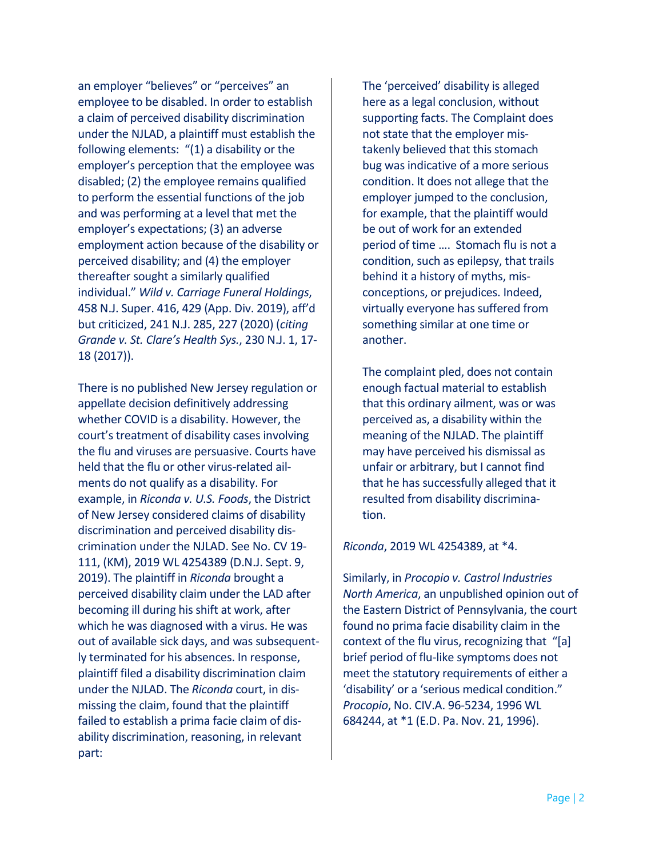an employer "believes" or "perceives" an employee to be disabled. In order to establish a claim of perceived disability discrimination under the NJLAD, a plaintiff must establish the following elements: "(1) a disability or the employer's perception that the employee was disabled; (2) the employee remains qualified to perform the essential functions of the job and was performing at a level that met the employer's expectations; (3) an adverse employment action because of the disability or perceived disability; and (4) the employer thereafter sought a similarly qualified individual." *Wild v. Carriage Funeral Holdings*, 458 N.J. Super. 416, 429 (App. Div. 2019), aff'd but criticized, 241 N.J. 285, 227 (2020) (*citing Grande v. St. Clare's Health Sys.*, 230 N.J. 1, 17- 18 (2017)).

There is no published New Jersey regulation or appellate decision definitively addressing whether COVID is a disability. However, the court's treatment of disability cases involving the flu and viruses are persuasive. Courts have held that the flu or other virus-related ailments do not qualify as a disability. For example, in *Riconda v. U.S. Foods*, the District of New Jersey considered claims of disability discrimination and perceived disability discrimination under the NJLAD. See No. CV 19- 111, (KM), 2019 WL 4254389 (D.N.J. Sept. 9, 2019). The plaintiff in *Riconda* brought a perceived disability claim under the LAD after becoming ill during his shift at work, after which he was diagnosed with a virus. He was out of available sick days, and was subsequently terminated for his absences. In response, plaintiff filed a disability discrimination claim under the NJLAD. The *Riconda* court, in dismissing the claim, found that the plaintiff failed to establish a prima facie claim of disability discrimination, reasoning, in relevant part:

The 'perceived' disability is alleged here as a legal conclusion, without supporting facts. The Complaint does not state that the employer mistakenly believed that this stomach bug was indicative of a more serious condition. It does not allege that the employer jumped to the conclusion, for example, that the plaintiff would be out of work for an extended period of time …. Stomach flu is not a condition, such as epilepsy, that trails behind it a history of myths, misconceptions, or prejudices. Indeed, virtually everyone has suffered from something similar at one time or another.

The complaint pled, does not contain enough factual material to establish that this ordinary ailment, was or was perceived as, a disability within the meaning of the NJLAD. The plaintiff may have perceived his dismissal as unfair or arbitrary, but I cannot find that he has successfully alleged that it resulted from disability discrimination.

#### *Riconda*, 2019 WL 4254389, at \*4.

Similarly, in *Procopio v. Castrol Industries North America*, an unpublished opinion out of the Eastern District of Pennsylvania, the court found no prima facie disability claim in the context of the flu virus, recognizing that "[a] brief period of flu-like symptoms does not meet the statutory requirements of either a 'disability' or a 'serious medical condition." *Procopio*, No. CIV.A. 96-5234, 1996 WL 684244, at \*1 (E.D. Pa. Nov. 21, 1996).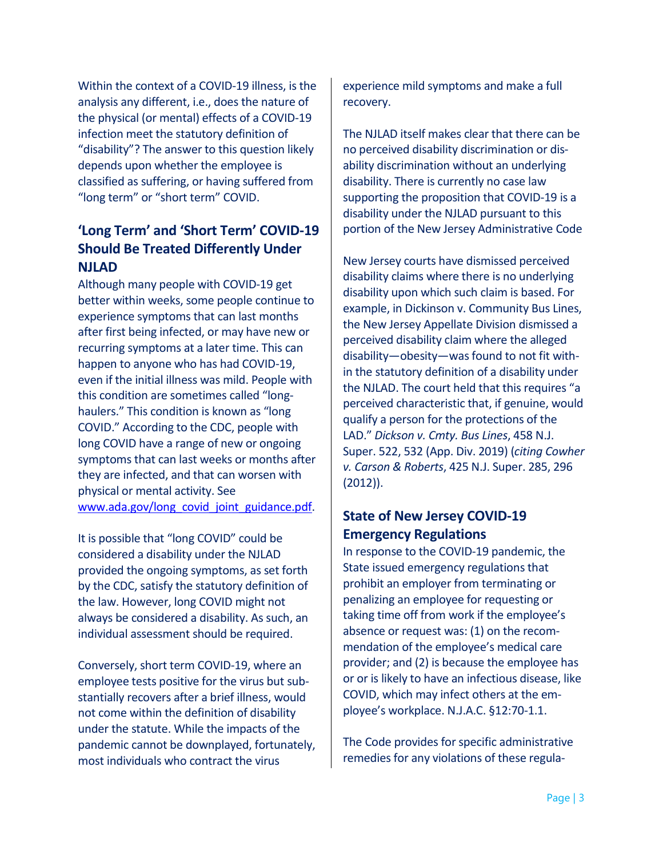Within the context of a COVID-19 illness, is the analysis any different, i.e., does the nature of the physical (or mental) effects of a COVID-19 infection meet the statutory definition of "disability"? The answer to this question likely depends upon whether the employee is classified as suffering, or having suffered from "long term" or "short term" COVID.

# **'Long Term' and 'Short Term' COVID-19 Should Be Treated Differently Under NJLAD**

Although many people with COVID-19 get better within weeks, some people continue to experience symptoms that can last months after first being infected, or may have new or recurring symptoms at a later time. This can happen to anyone who has had COVID-19, even if the initial illness was mild. People with this condition are sometimes called "longhaulers." This condition is known as "long COVID." According to the CDC, people with long COVID have a range of new or ongoing symptoms that can last weeks or months after they are infected, and that can worsen with physical or mental activity. See www.ada.gov/long\_covid\_joint\_guidance.pdf.

It is possible that "long COVID" could be considered a disability under the NJLAD provided the ongoing symptoms, as set forth by the CDC, satisfy the statutory definition of the law. However, long COVID might not always be considered a disability. As such, an individual assessment should be required.

Conversely, short term COVID-19, where an employee tests positive for the virus but substantially recovers after a brief illness, would not come within the definition of disability under the statute. While the impacts of the pandemic cannot be downplayed, fortunately, most individuals who contract the virus

experience mild symptoms and make a full recovery.

The NJLAD itself makes clear that there can be no perceived disability discrimination or disability discrimination without an underlying disability. There is currently no case law supporting the proposition that COVID-19 is a disability under the NJLAD pursuant to this portion of the New Jersey Administrative Code

New Jersey courts have dismissed perceived disability claims where there is no underlying disability upon which such claim is based. For example, in Dickinson v. Community Bus Lines, the New Jersey Appellate Division dismissed a perceived disability claim where the alleged disability—obesity—was found to not fit within the statutory definition of a disability under the NJLAD. The court held that this requires "a perceived characteristic that, if genuine, would qualify a person for the protections of the LAD." *Dickson v. Cmty. Bus Lines*, 458 N.J. Super. 522, 532 (App. Div. 2019) (*citing Cowher v. Carson & Roberts*, 425 N.J. Super. 285, 296 (2012)).

## **State of New Jersey COVID-19 Emergency Regulations**

In response to the COVID-19 pandemic, the State issued emergency regulations that prohibit an employer from terminating or penalizing an employee for requesting or taking time off from work if the employee's absence or request was: (1) on the recommendation of the employee's medical care provider; and (2) is because the employee has or or is likely to have an infectious disease, like COVID, which may infect others at the employee's workplace. N.J.A.C. §12:70-1.1.

The Code provides for specific administrative remedies for any violations of these regula